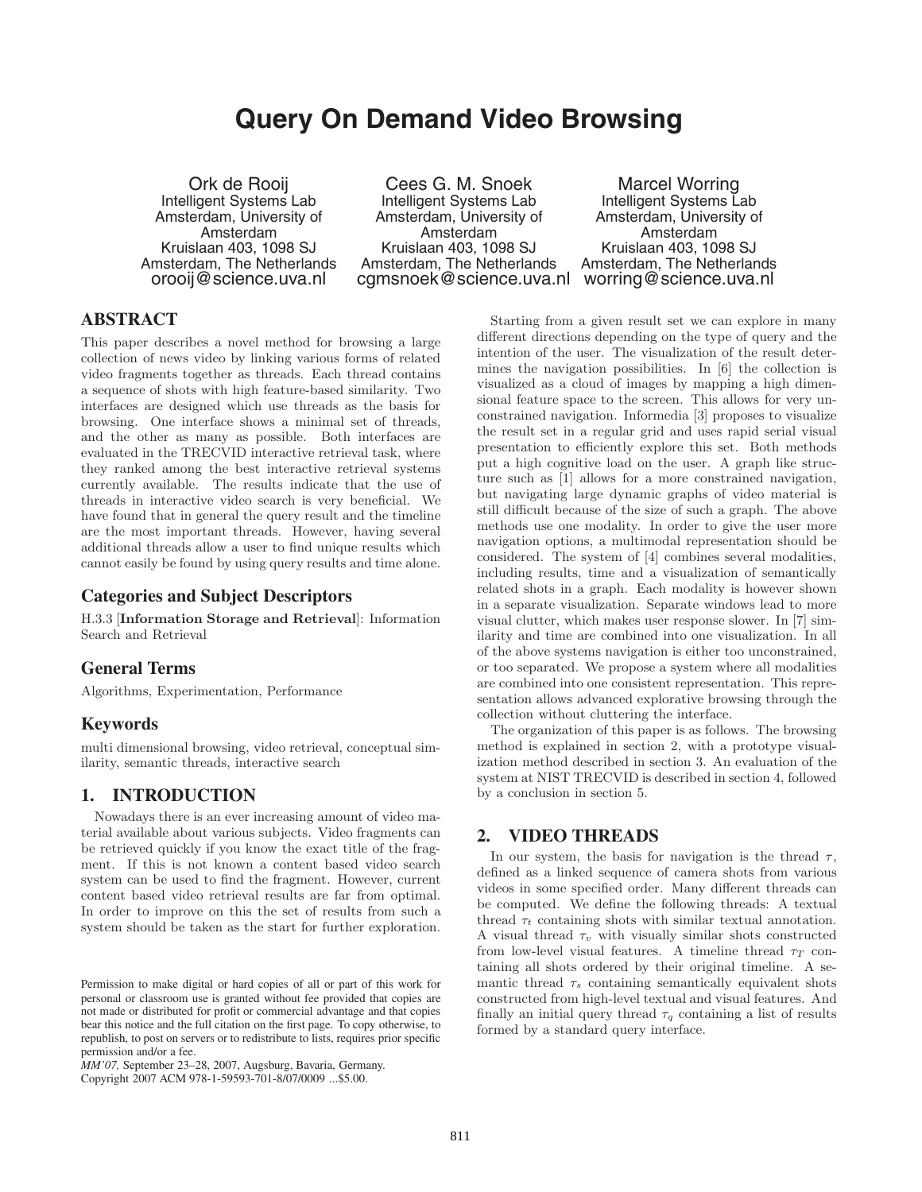# **Query On Demand Video Browsing**

Ork de Rooij Intelligent Systems Lab Amsterdam, University of Amsterdam Kruislaan 403, 1098 SJ Amsterdam, The Netherlands orooij@science.uva.nl

Cees G. M. Snoek Intelligent Systems Lab Amsterdam, University of Amsterdam Kruislaan 403, 1098 SJ Amsterdam, The Netherlands cgmsnoek@science.uva.nl worring@science.uva.nl

Marcel Worring Intelligent Systems Lab Amsterdam, University of Amsterdam Kruislaan 403, 1098 SJ Amsterdam, The Netherlands

# **ABSTRACT**

This paper describes a novel method for browsing a large collection of news video by linking various forms of related video fragments together as threads. Each thread contains a sequence of shots with high feature-based similarity. Two interfaces are designed which use threads as the basis for browsing. One interface shows a minimal set of threads, and the other as many as possible. Both interfaces are evaluated in the TRECVID interactive retrieval task, where they ranked among the best interactive retrieval systems currently available. The results indicate that the use of threads in interactive video search is very beneficial. We have found that in general the query result and the timeline are the most important threads. However, having several additional threads allow a user to find unique results which cannot easily be found by using query results and time alone.

# **Categories and Subject Descriptors**

H.3.3 [**Information Storage and Retrieval**]: Information Search and Retrieval

## **General Terms**

Algorithms, Experimentation, Performance

### **Keywords**

multi dimensional browsing, video retrieval, conceptual similarity, semantic threads, interactive search

## **1. INTRODUCTION**

Nowadays there is an ever increasing amount of video material available about various subjects. Video fragments can be retrieved quickly if you know the exact title of the fragment. If this is not known a content based video search system can be used to find the fragment. However, current content based video retrieval results are far from optimal. In order to improve on this the set of results from such a system should be taken as the start for further exploration.

Copyright 2007 ACM 978-1-59593-701-8/07/0009 ...\$5.00.

Starting from a given result set we can explore in many different directions depending on the type of query and the intention of the user. The visualization of the result determines the navigation possibilities. In [6] the collection is visualized as a cloud of images by mapping a high dimensional feature space to the screen. This allows for very unconstrained navigation. Informedia [3] proposes to visualize the result set in a regular grid and uses rapid serial visual presentation to efficiently explore this set. Both methods put a high cognitive load on the user. A graph like structure such as [1] allows for a more constrained navigation, but navigating large dynamic graphs of video material is still difficult because of the size of such a graph. The above methods use one modality. In order to give the user more navigation options, a multimodal representation should be considered. The system of [4] combines several modalities, including results, time and a visualization of semantically related shots in a graph. Each modality is however shown in a separate visualization. Separate windows lead to more visual clutter, which makes user response slower. In [7] similarity and time are combined into one visualization. In all of the above systems navigation is either too unconstrained, or too separated. We propose a system where all modalities are combined into one consistent representation. This representation allows advanced explorative browsing through the collection without cluttering the interface.

The organization of this paper is as follows. The browsing method is explained in section 2, with a prototype visualization method described in section 3. An evaluation of the system at NIST TRECVID is described in section 4, followed by a conclusion in section 5.

## **2. VIDEO THREADS**

In our system, the basis for navigation is the thread  $\tau$ , defined as a linked sequence of camera shots from various videos in some specified order. Many different threads can be computed. We define the following threads: A textual thread τ*<sup>t</sup>* containing shots with similar textual annotation. A visual thread  $\tau_v$  with visually similar shots constructed from low-level visual features. A timeline thread  $\tau_T$  containing all shots ordered by their original timeline. A semantic thread  $\tau_s$  containing semantically equivalent shots constructed from high-level textual and visual features. And finally an initial query thread  $\tau_q$  containing a list of results formed by a standard query interface.

Permission to make digital or hard copies of all or part of this work for personal or classroom use is granted without fee provided that copies are not made or distributed for profit or commercial advantage and that copies bear this notice and the full citation on the first page. To copy otherwise, to republish, to post on servers or to redistribute to lists, requires prior specific permission and/or a fee.

*MM'07,* September 23–28, 2007, Augsburg, Bavaria, Germany.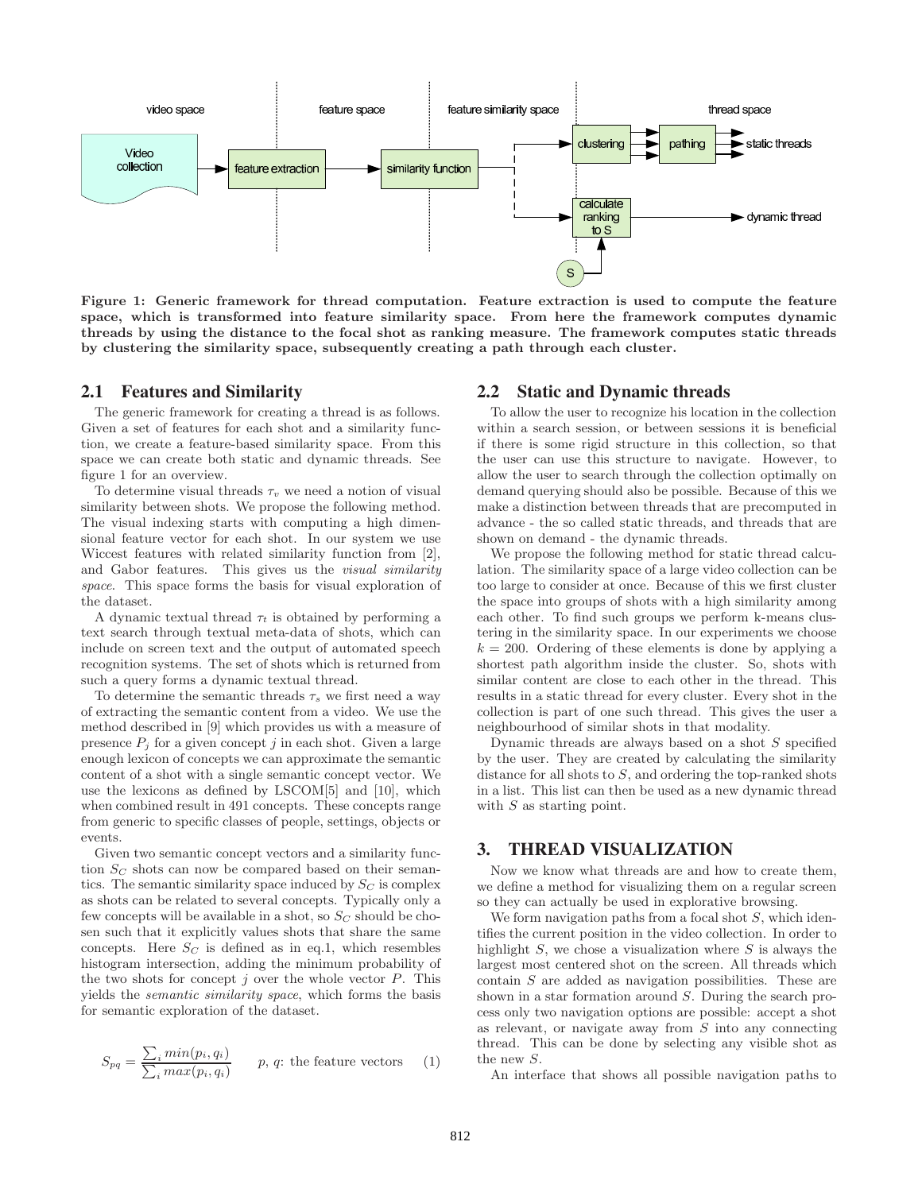

**Figure 1: Generic framework for thread computation. Feature extraction is used to compute the feature space, which is transformed into feature similarity space. From here the framework computes dynamic threads by using the distance to the focal shot as ranking measure. The framework computes static threads by clustering the similarity space, subsequently creating a path through each cluster.**

#### **2.1 Features and Similarity**

The generic framework for creating a thread is as follows. Given a set of features for each shot and a similarity function, we create a feature-based similarity space. From this space we can create both static and dynamic threads. See figure 1 for an overview.

To determine visual threads  $\tau_v$  we need a notion of visual similarity between shots. We propose the following method. The visual indexing starts with computing a high dimensional feature vector for each shot. In our system we use Wiccest features with related similarity function from [2], and Gabor features. This gives us the *visual similarity space*. This space forms the basis for visual exploration of the dataset.

A dynamic textual thread  $\tau_t$  is obtained by performing a text search through textual meta-data of shots, which can include on screen text and the output of automated speech recognition systems. The set of shots which is returned from such a query forms a dynamic textual thread.

To determine the semantic threads  $\tau_s$  we first need a way of extracting the semantic content from a video. We use the method described in [9] which provides us with a measure of presence  $P_i$  for a given concept  $j$  in each shot. Given a large enough lexicon of concepts we can approximate the semantic content of a shot with a single semantic concept vector. We use the lexicons as defined by LSCOM[5] and [10], which when combined result in 491 concepts. These concepts range from generic to specific classes of people, settings, objects or events.

Given two semantic concept vectors and a similarity function S*<sup>C</sup>* shots can now be compared based on their semantics. The semantic similarity space induced by S*<sup>C</sup>* is complex as shots can be related to several concepts. Typically only a few concepts will be available in a shot, so S*<sup>C</sup>* should be chosen such that it explicitly values shots that share the same concepts. Here  $S_C$  is defined as in eq.1, which resembles histogram intersection, adding the minimum probability of the two shots for concept  $j$  over the whole vector  $P$ . This yields the *semantic similarity space*, which forms the basis for semantic exploration of the dataset.

$$
S_{pq} = \frac{\sum_{i} min(p_i, q_i)}{\sum_{i} max(p_i, q_i)} \qquad p, q: \text{ the feature vectors} \qquad (1)
$$

#### **2.2 Static and Dynamic threads**

To allow the user to recognize his location in the collection within a search session, or between sessions it is beneficial if there is some rigid structure in this collection, so that the user can use this structure to navigate. However, to allow the user to search through the collection optimally on demand querying should also be possible. Because of this we make a distinction between threads that are precomputed in advance - the so called static threads, and threads that are shown on demand - the dynamic threads.

We propose the following method for static thread calculation. The similarity space of a large video collection can be too large to consider at once. Because of this we first cluster the space into groups of shots with a high similarity among each other. To find such groups we perform k-means clustering in the similarity space. In our experiments we choose  $k = 200$ . Ordering of these elements is done by applying a shortest path algorithm inside the cluster. So, shots with similar content are close to each other in the thread. This results in a static thread for every cluster. Every shot in the collection is part of one such thread. This gives the user a neighbourhood of similar shots in that modality.

Dynamic threads are always based on a shot  $S$  specified by the user. They are created by calculating the similarity distance for all shots to  $S$ , and ordering the top-ranked shots in a list. This list can then be used as a new dynamic thread with  $S$  as starting point.

#### **3. THREAD VISUALIZATION**

Now we know what threads are and how to create them, we define a method for visualizing them on a regular screen so they can actually be used in explorative browsing.

We form navigation paths from a focal shot  $S$ , which identifies the current position in the video collection. In order to highlight  $S$ , we chose a visualization where  $S$  is always the largest most centered shot on the screen. All threads which contain S are added as navigation possibilities. These are shown in a star formation around S. During the search process only two navigation options are possible: accept a shot as relevant, or navigate away from  $S$  into any connecting thread. This can be done by selecting any visible shot as the new S.

An interface that shows all possible navigation paths to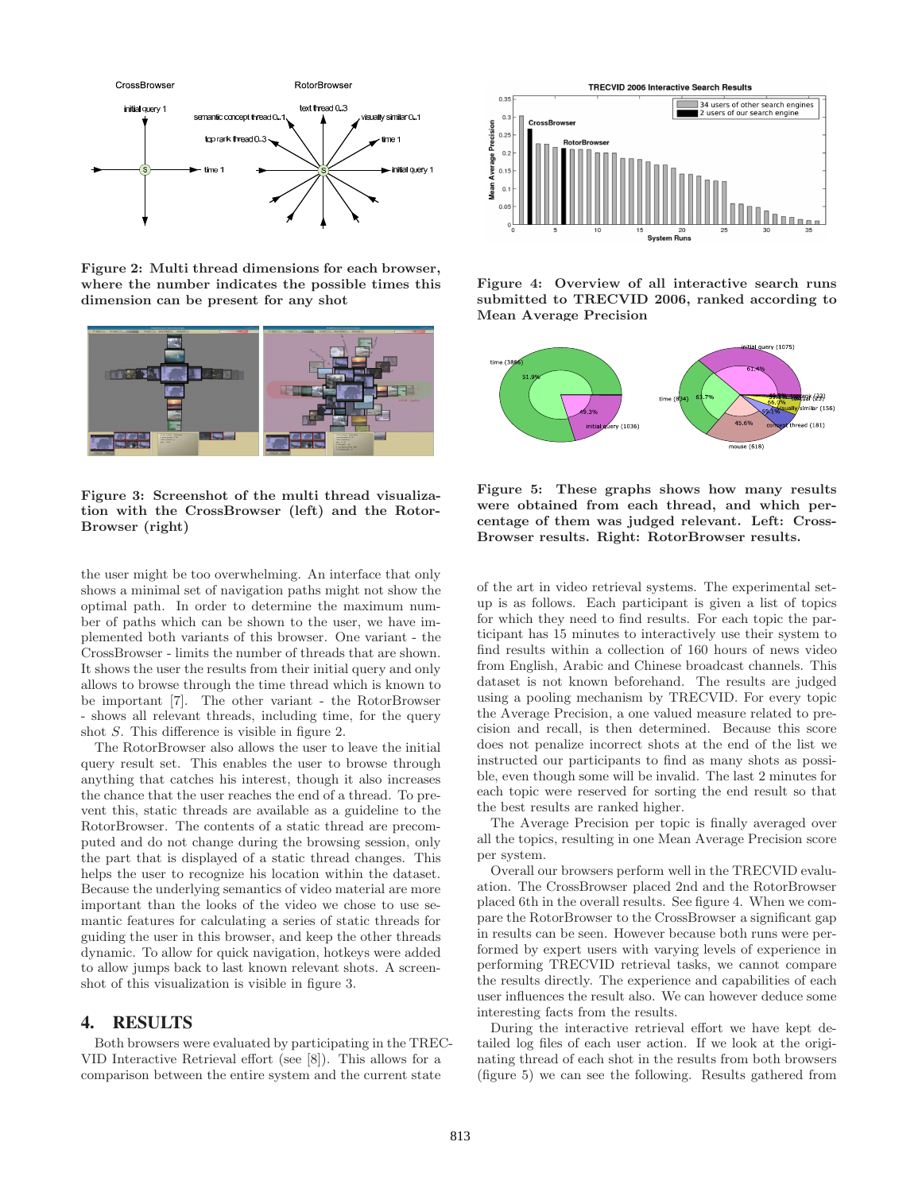

**Figure 2: Multi thread dimensions for each browser, where the number indicates the possible times this dimension can be present for any shot**



**Figure 3: Screenshot of the multi thread visualization with the CrossBrowser (left) and the Rotor-Browser (right)**

the user might be too overwhelming. An interface that only shows a minimal set of navigation paths might not show the optimal path. In order to determine the maximum number of paths which can be shown to the user, we have implemented both variants of this browser. One variant - the CrossBrowser - limits the number of threads that are shown. It shows the user the results from their initial query and only allows to browse through the time thread which is known to be important [7]. The other variant - the RotorBrowser - shows all relevant threads, including time, for the query shot S. This difference is visible in figure 2.

The RotorBrowser also allows the user to leave the initial query result set. This enables the user to browse through anything that catches his interest, though it also increases the chance that the user reaches the end of a thread. To prevent this, static threads are available as a guideline to the RotorBrowser. The contents of a static thread are precomputed and do not change during the browsing session, only the part that is displayed of a static thread changes. This helps the user to recognize his location within the dataset. Because the underlying semantics of video material are more important than the looks of the video we chose to use semantic features for calculating a series of static threads for guiding the user in this browser, and keep the other threads dynamic. To allow for quick navigation, hotkeys were added to allow jumps back to last known relevant shots. A screenshot of this visualization is visible in figure 3.

# **4. RESULTS**

Both browsers were evaluated by participating in the TREC-VID Interactive Retrieval effort (see [8]). This allows for a comparison between the entire system and the current state



**Figure 4: Overview of all interactive search runs submitted to TRECVID 2006, ranked according to Mean Average Precision**



**Figure 5: These graphs shows how many results were obtained from each thread, and which percentage of them was judged relevant. Left: Cross-Browser results. Right: RotorBrowser results.**

of the art in video retrieval systems. The experimental setup is as follows. Each participant is given a list of topics for which they need to find results. For each topic the participant has 15 minutes to interactively use their system to find results within a collection of 160 hours of news video from English, Arabic and Chinese broadcast channels. This dataset is not known beforehand. The results are judged using a pooling mechanism by TRECVID. For every topic the Average Precision, a one valued measure related to precision and recall, is then determined. Because this score does not penalize incorrect shots at the end of the list we instructed our participants to find as many shots as possible, even though some will be invalid. The last 2 minutes for each topic were reserved for sorting the end result so that the best results are ranked higher.

The Average Precision per topic is finally averaged over all the topics, resulting in one Mean Average Precision score per system.

Overall our browsers perform well in the TRECVID evaluation. The CrossBrowser placed 2nd and the RotorBrowser placed 6th in the overall results. See figure 4. When we compare the RotorBrowser to the CrossBrowser a significant gap in results can be seen. However because both runs were performed by expert users with varying levels of experience in performing TRECVID retrieval tasks, we cannot compare the results directly. The experience and capabilities of each user influences the result also. We can however deduce some interesting facts from the results.

During the interactive retrieval effort we have kept detailed log files of each user action. If we look at the originating thread of each shot in the results from both browsers (figure 5) we can see the following. Results gathered from